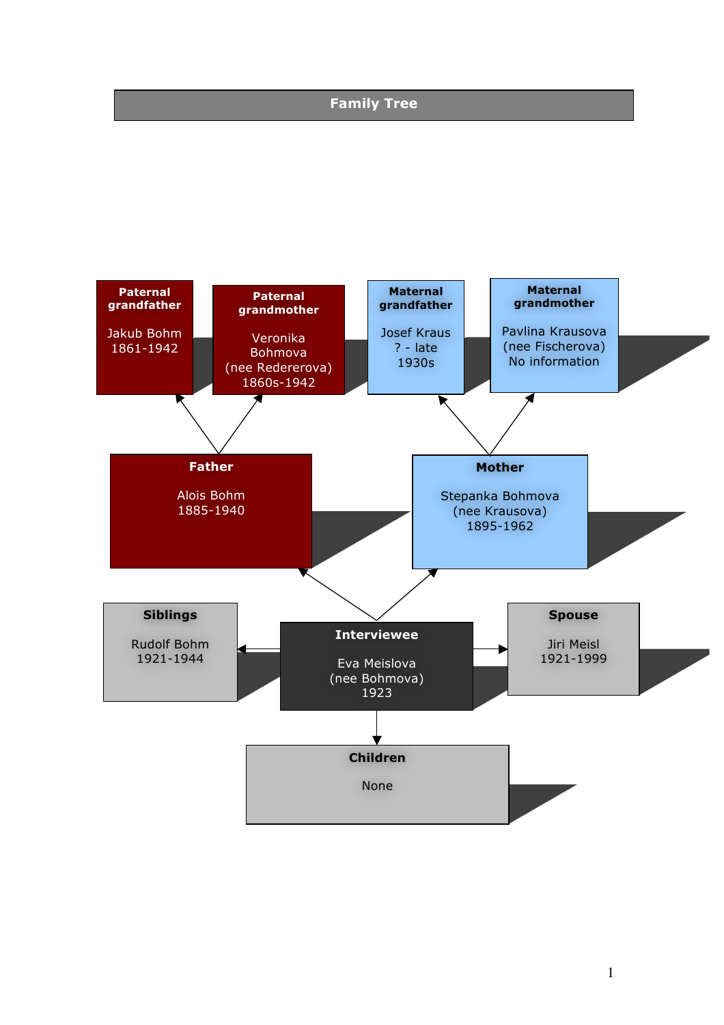# **Family Tree**

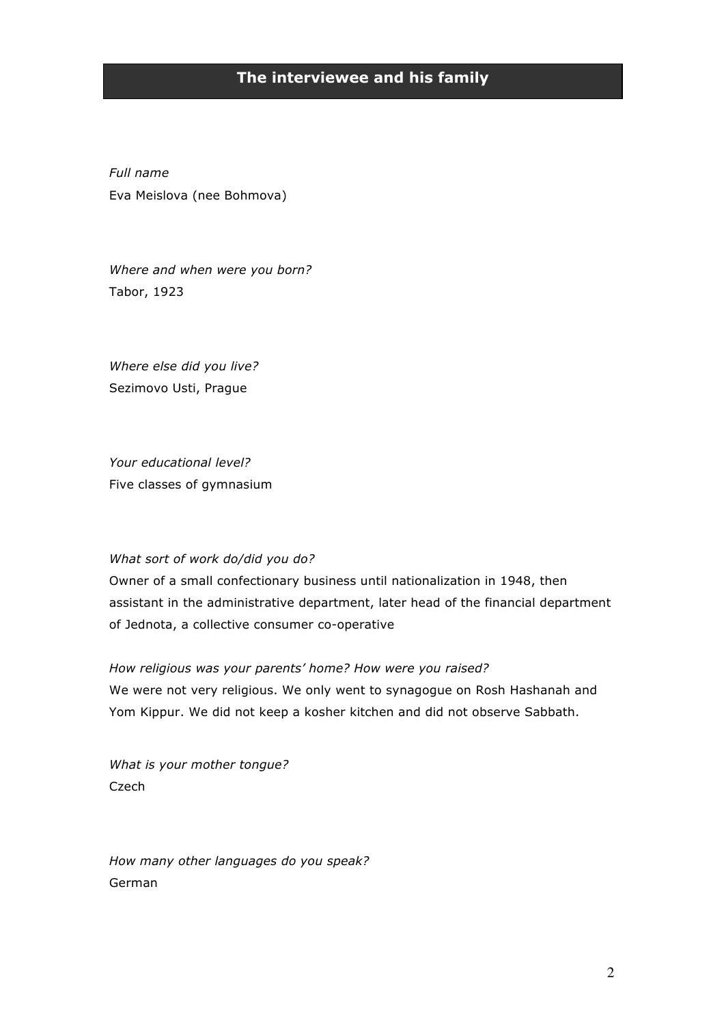# **The interviewee and his family**

*Full name* Eva Meislova (nee Bohmova)

*Where and when were you born?* Tabor, 1923

*Where else did you live?* Sezimovo Usti, Prague

*Your educational level?* Five classes of gymnasium

### *What sort of work do/did you do?*

Owner of a small confectionary business until nationalization in 1948, then assistant in the administrative department, later head of the financial department of Jednota, a collective consumer co-operative

*How religious was your parents' home? How were you raised?* We were not very religious. We only went to synagogue on Rosh Hashanah and Yom Kippur. We did not keep a kosher kitchen and did not observe Sabbath.

*What is your mother tongue?* Czech

*How many other languages do you speak?* German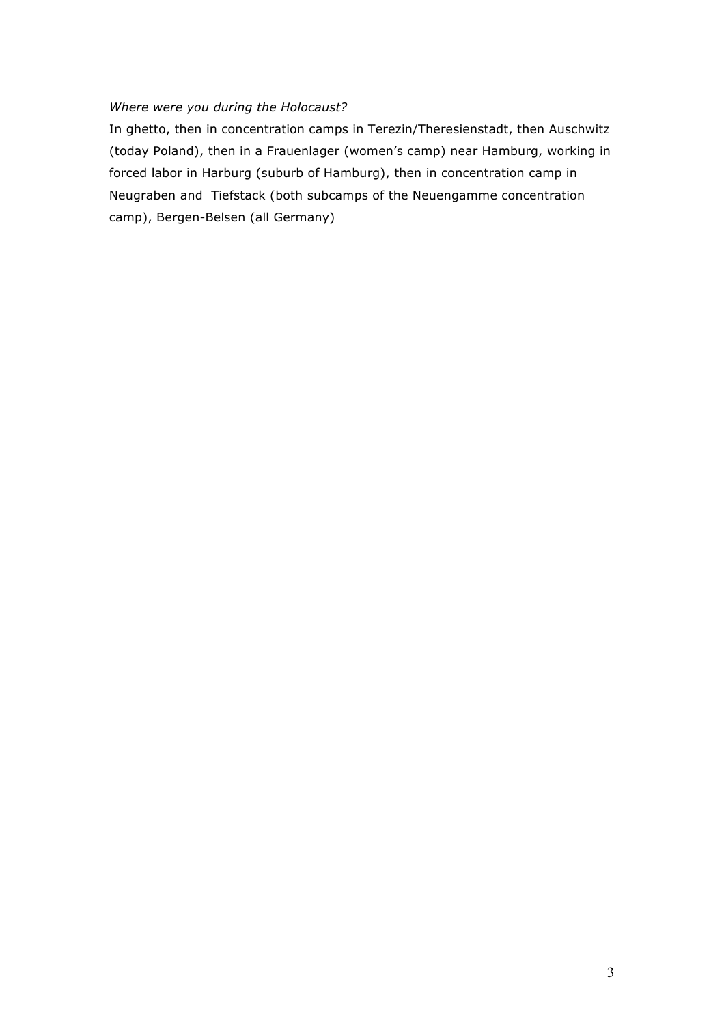### *Where were you during the Holocaust?*

In ghetto, then in concentration camps in Terezin/Theresienstadt, then Auschwitz (today Poland), then in a Frauenlager (women's camp) near Hamburg, working in forced labor in Harburg (suburb of Hamburg), then in concentration camp in Neugraben and Tiefstack (both subcamps of the Neuengamme concentration camp), Bergen-Belsen (all Germany)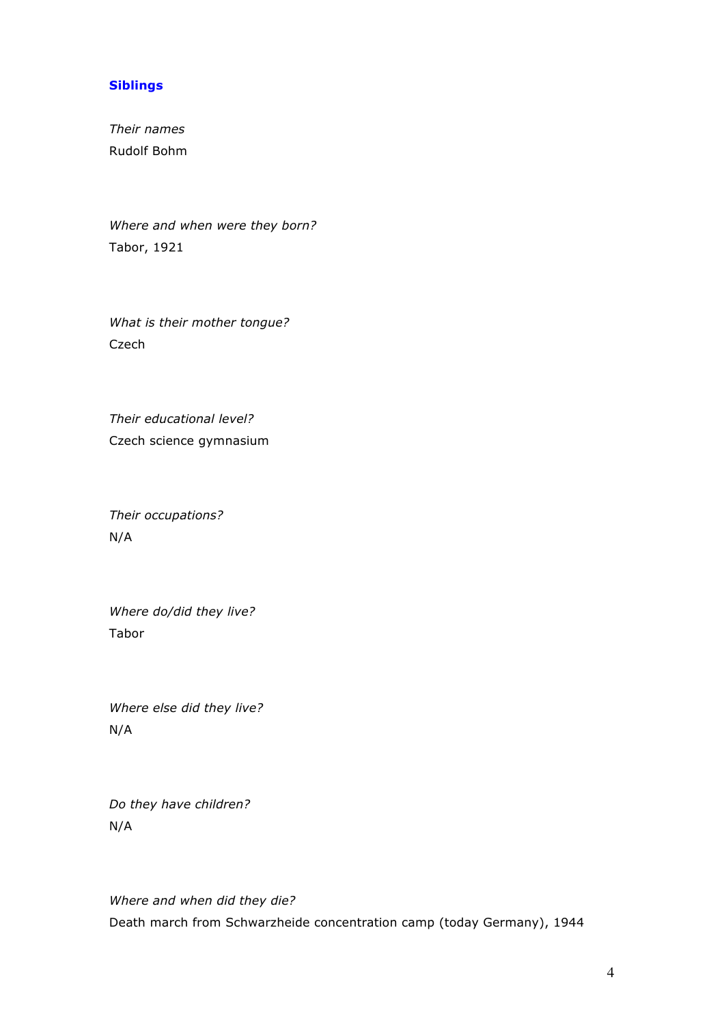### **Siblings**

*Their names* Rudolf Bohm

*Where and when were they born?* Tabor, 1921

*What is their mother tongue?* Czech

*Their educational level?* Czech science gymnasium

*Their occupations?* N/A

*Where do/did they live?*  Tabor

*Where else did they live?* N/A

*Do they have children?* N/A

*Where and when did they die?* Death march from Schwarzheide concentration camp (today Germany), 1944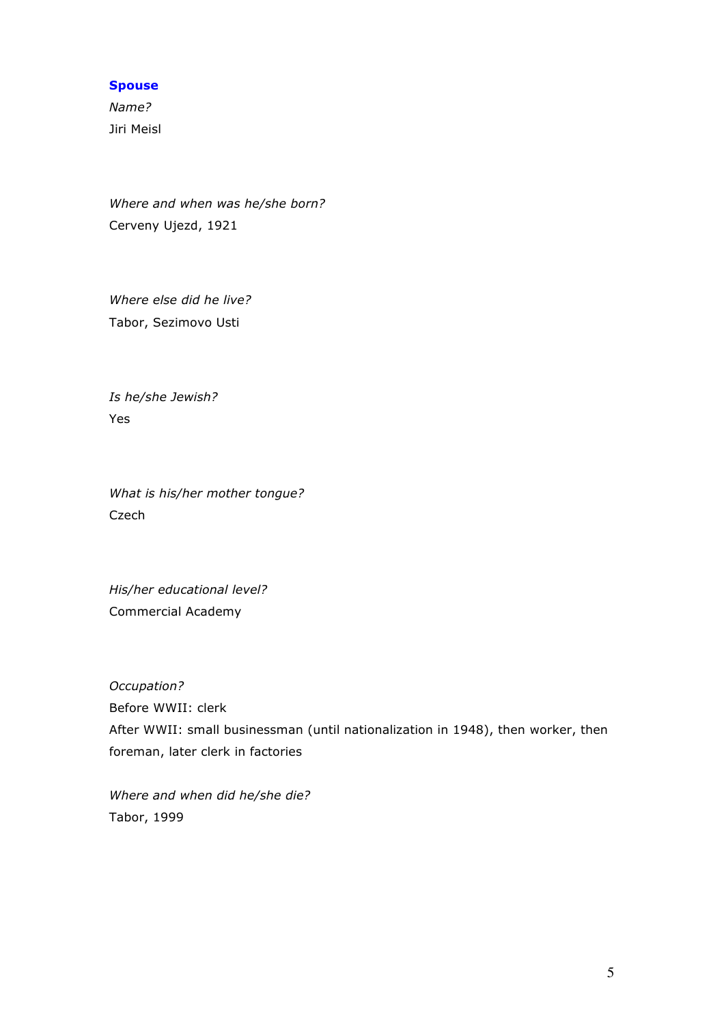### **Spouse**

*Name?* Jiri Meisl

*Where and when was he/she born?* Cerveny Ujezd, 1921

*Where else did he live?* Tabor, Sezimovo Usti

*Is he/she Jewish?* Yes

*What is his/her mother tongue?* Czech

*His/her educational level?* Commercial Academy

*Occupation?* Before WWII: clerk After WWII: small businessman (until nationalization in 1948), then worker, then foreman, later clerk in factories

*Where and when did he/she die?* Tabor, 1999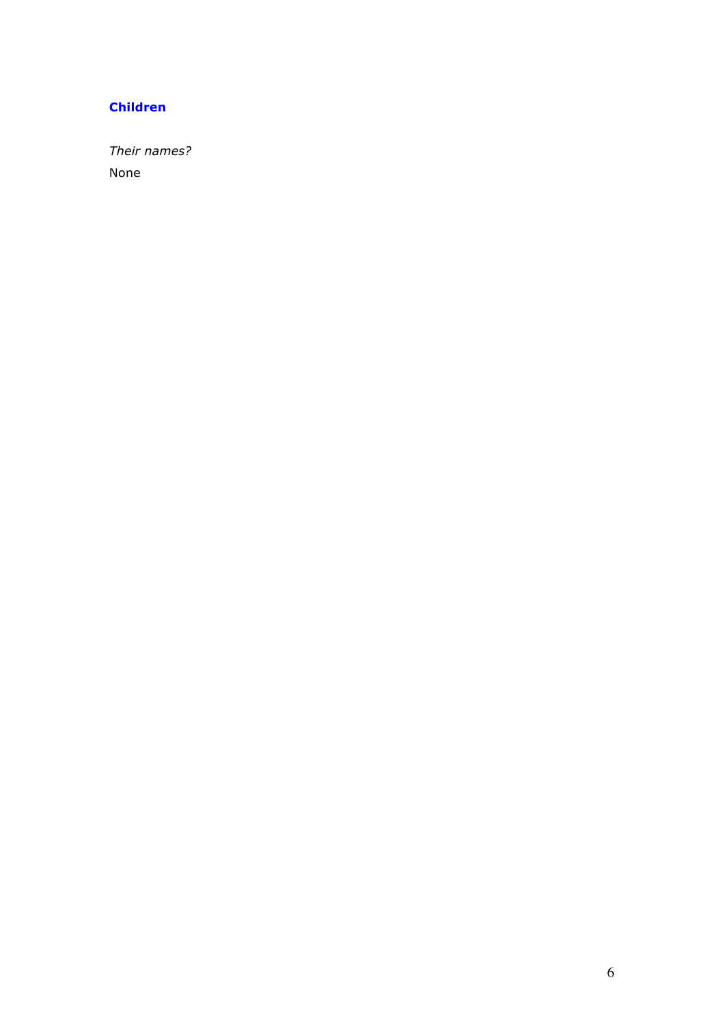### **Children**

*Their names?* None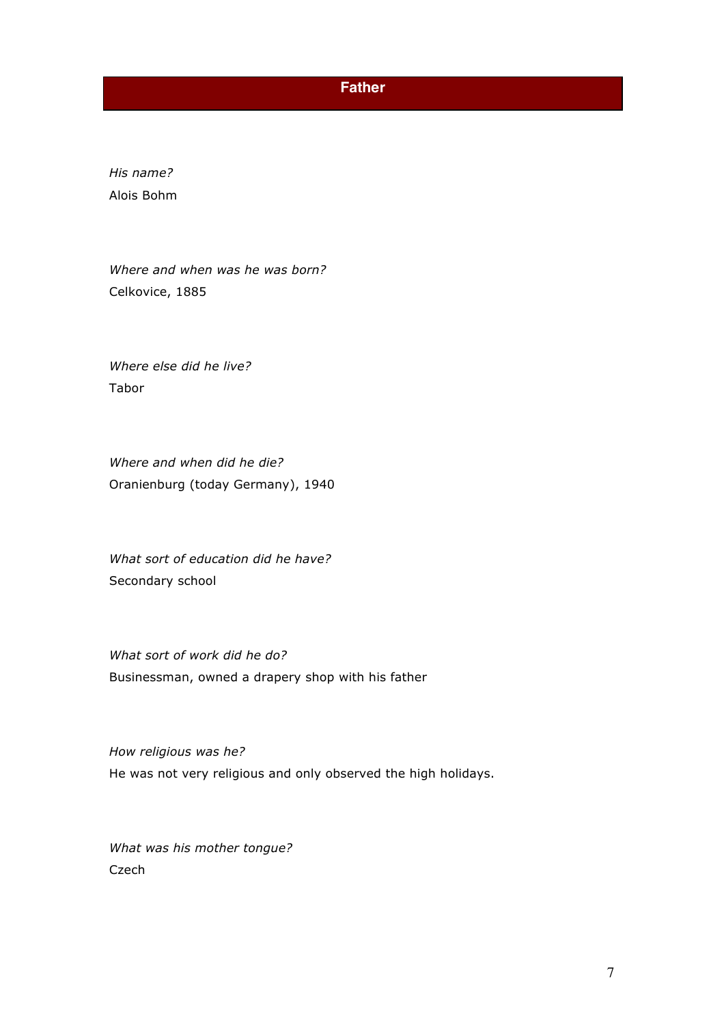## **Father**

*His name?* Alois Bohm

*Where and when was he was born?* Celkovice, 1885

*Where else did he live?* Tabor

*Where and when did he die?* Oranienburg (today Germany), 1940

*What sort of education did he have?* Secondary school

*What sort of work did he do?* Businessman, owned a drapery shop with his father

*How religious was he?*  He was not very religious and only observed the high holidays.

*What was his mother tongue?*  Czech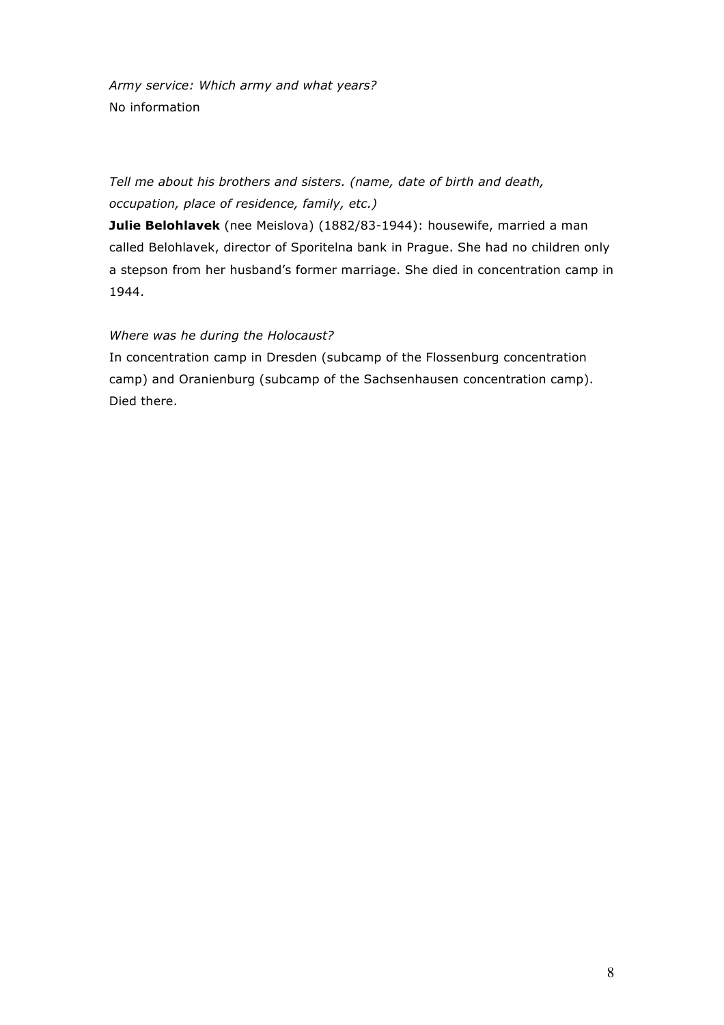*Army service: Which army and what years?* No information

*Tell me about his brothers and sisters. (name, date of birth and death, occupation, place of residence, family, etc.)*

**Julie Belohlavek** (nee Meislova) (1882/83-1944): housewife, married a man called Belohlavek, director of Sporitelna bank in Prague. She had no children only a stepson from her husband's former marriage. She died in concentration camp in 1944.

### *Where was he during the Holocaust?*

In concentration camp in Dresden (subcamp of the Flossenburg concentration camp) and Oranienburg (subcamp of the Sachsenhausen concentration camp). Died there.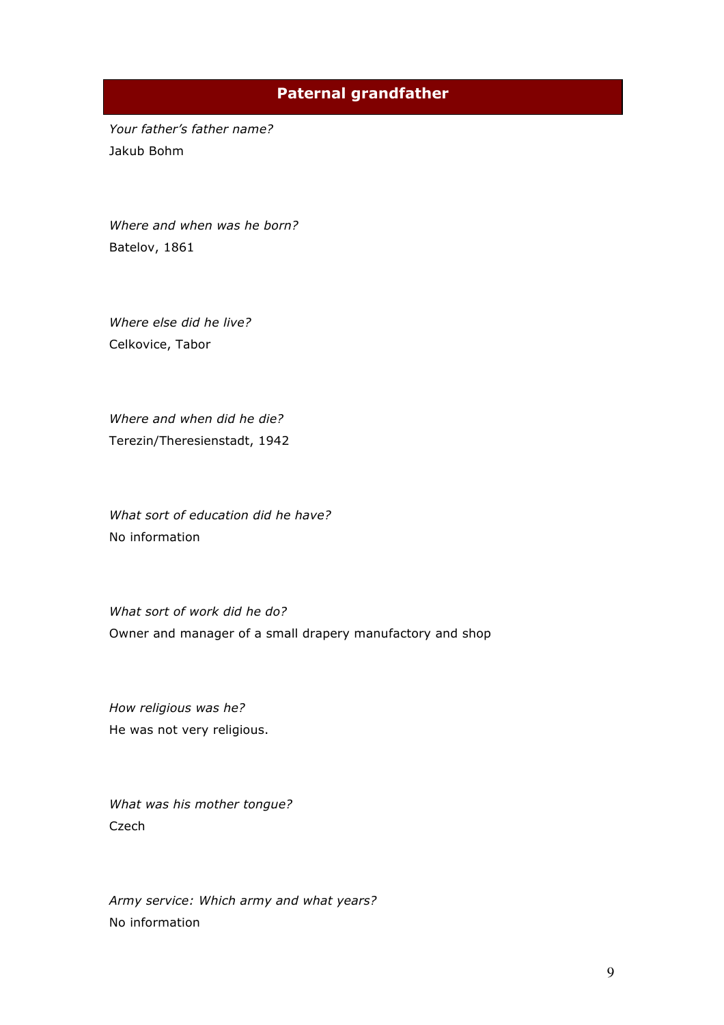# **Paternal grandfather**

*Your father's father name?*  Jakub Bohm

*Where and when was he born?* Batelov, 1861

*Where else did he live?* Celkovice, Tabor

*Where and when did he die?*  Terezin/Theresienstadt, 1942

*What sort of education did he have?* No information

*What sort of work did he do?* Owner and manager of a small drapery manufactory and shop

*How religious was he?*  He was not very religious.

*What was his mother tongue?*  Czech

*Army service: Which army and what years?* No information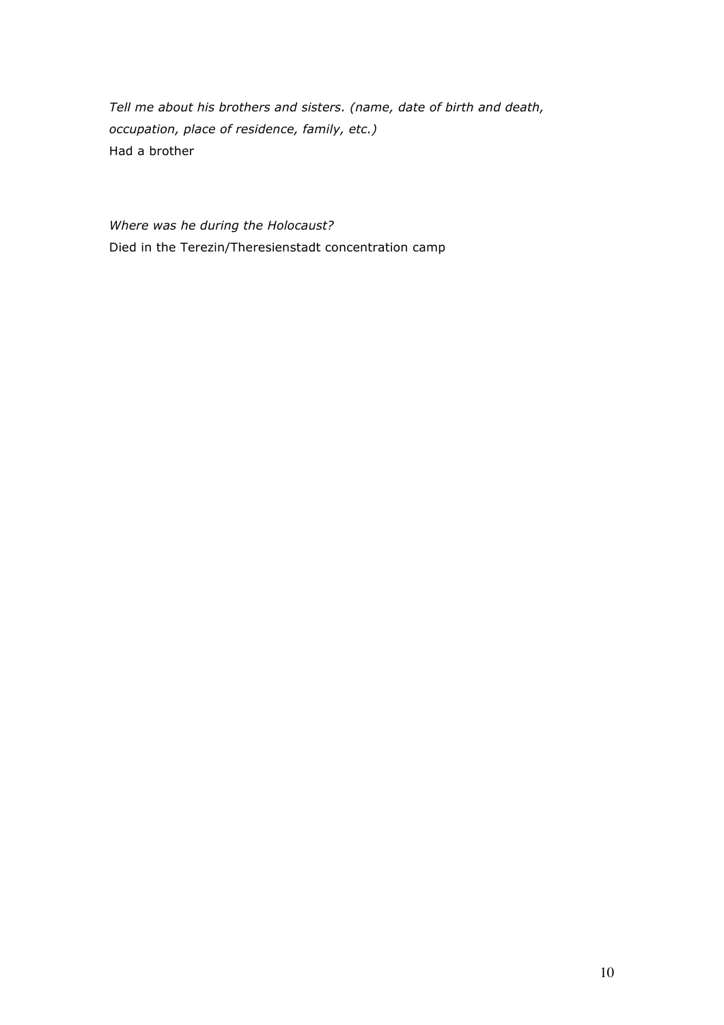*Tell me about his brothers and sisters. (name, date of birth and death, occupation, place of residence, family, etc.)* Had a brother

*Where was he during the Holocaust?* Died in the Terezin/Theresienstadt concentration camp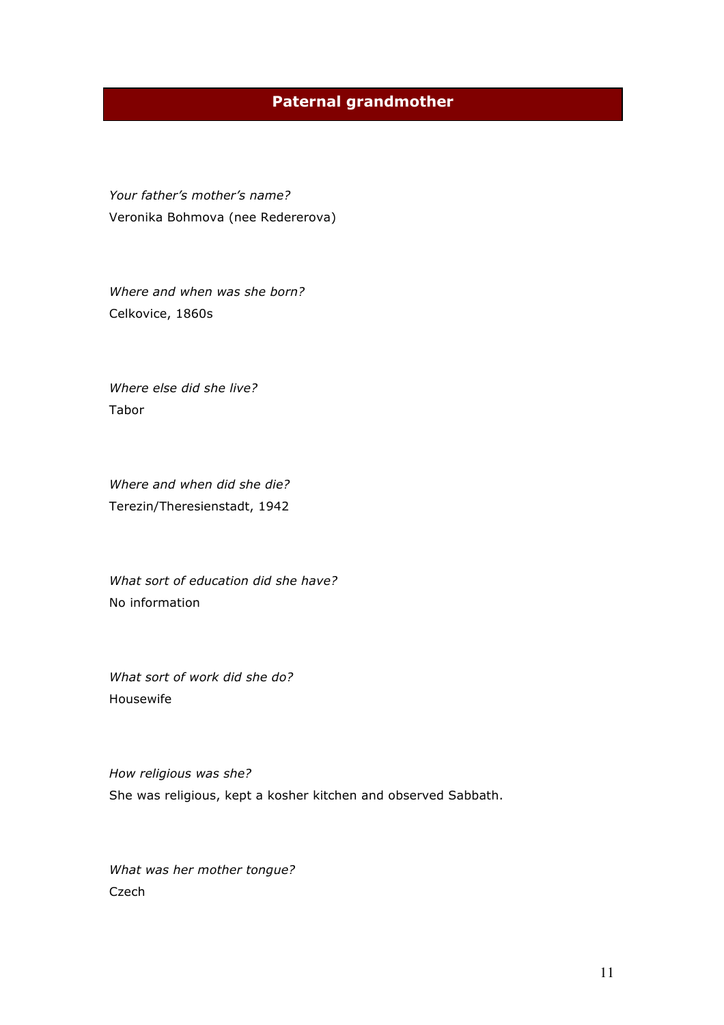# **Paternal grandmother**

*Your father's mother's name?* Veronika Bohmova (nee Redererova)

*Where and when was she born?*  Celkovice, 1860s

*Where else did she live?* Tabor

*Where and when did she die?* Terezin/Theresienstadt, 1942

*What sort of education did she have?* No information

*What sort of work did she do?* Housewife

*How religious was she?* She was religious, kept a kosher kitchen and observed Sabbath.

*What was her mother tongue?*  Czech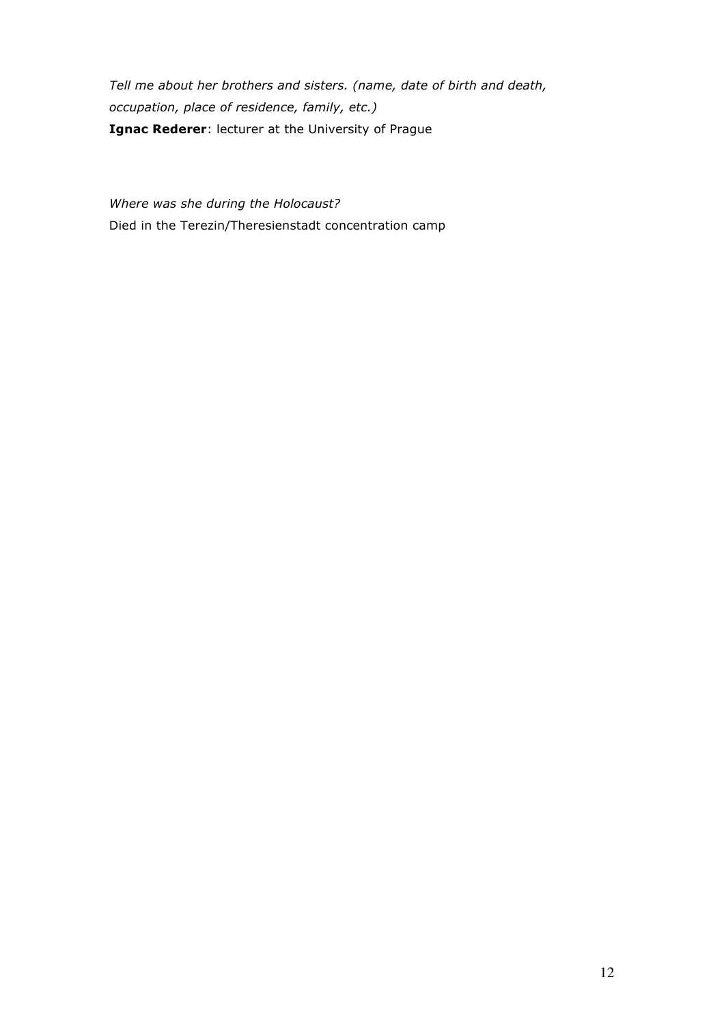*Tell me about her brothers and sisters. (name, date of birth and death, occupation, place of residence, family, etc.)* **Ignac Rederer**: lecturer at the University of Prague

*Where was she during the Holocaust?* Died in the Terezin/Theresienstadt concentration camp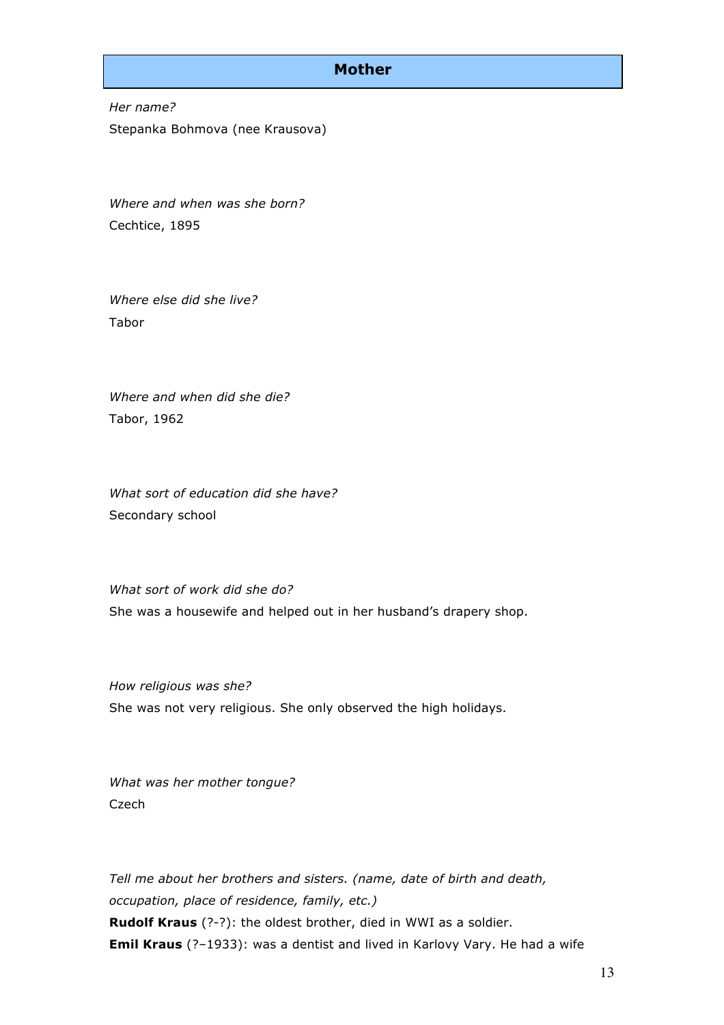### **Mother**

*Her name?* Stepanka Bohmova (nee Krausova)

*Where and when was she born?* Cechtice, 1895

*Where else did she live?* Tabor

*Where and when did she die?* Tabor, 1962

*What sort of education did she have?* Secondary school

*What sort of work did she do?* She was a housewife and helped out in her husband's drapery shop.

*How religious was she?* She was not very religious. She only observed the high holidays.

*What was her mother tongue?*  Czech

*Tell me about her brothers and sisters. (name, date of birth and death, occupation, place of residence, family, etc.)* **Rudolf Kraus** (?-?): the oldest brother, died in WWI as a soldier. **Emil Kraus** (?–1933): was a dentist and lived in Karlovy Vary. He had a wife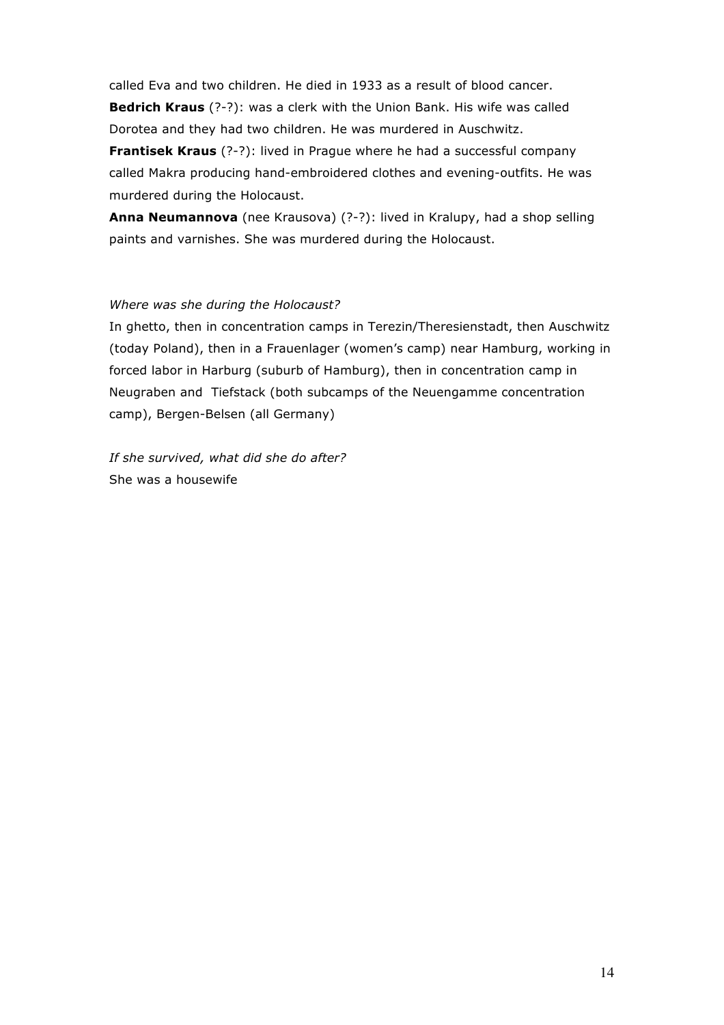called Eva and two children. He died in 1933 as a result of blood cancer. **Bedrich Kraus** (?-?): was a clerk with the Union Bank. His wife was called Dorotea and they had two children. He was murdered in Auschwitz.

**Frantisek Kraus** (?-?): lived in Prague where he had a successful company called Makra producing hand-embroidered clothes and evening-outfits. He was murdered during the Holocaust.

**Anna Neumannova** (nee Krausova) (?-?): lived in Kralupy, had a shop selling paints and varnishes. She was murdered during the Holocaust.

### *Where was she during the Holocaust?*

In ghetto, then in concentration camps in Terezin/Theresienstadt, then Auschwitz (today Poland), then in a Frauenlager (women's camp) near Hamburg, working in forced labor in Harburg (suburb of Hamburg), then in concentration camp in Neugraben and Tiefstack (both subcamps of the Neuengamme concentration camp), Bergen-Belsen (all Germany)

*If she survived, what did she do after?* She was a housewife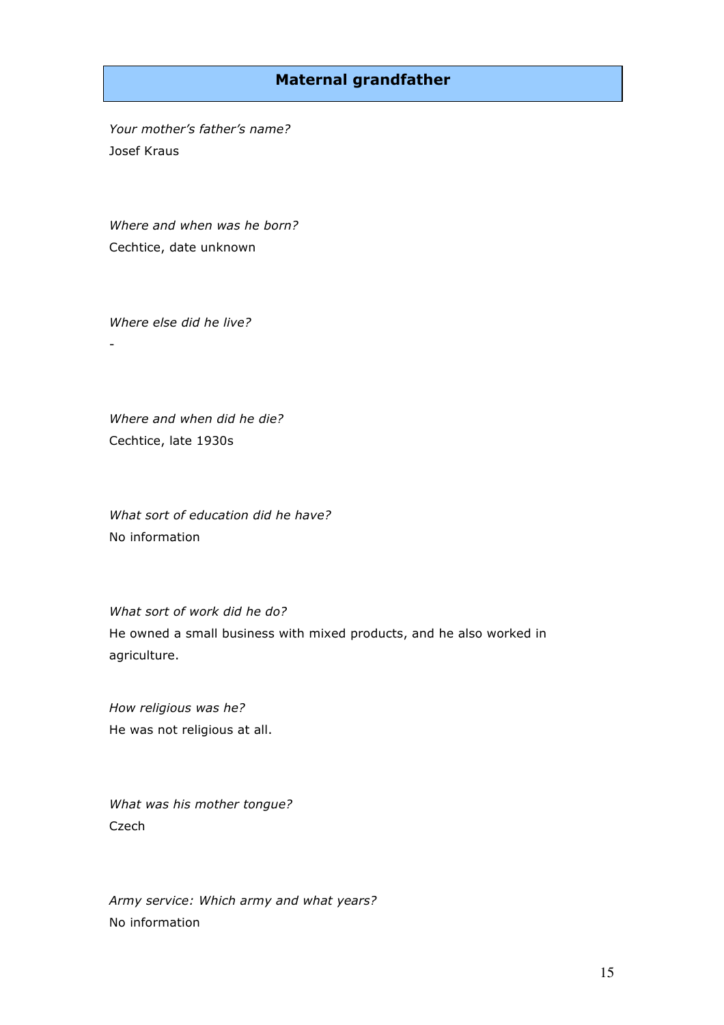## **Maternal grandfather**

*Your mother's father's name?*  Josef Kraus

*Where and when was he born?* Cechtice, date unknown

*Where else did he live?*

-

*Where and when did he die?*  Cechtice, late 1930s

*What sort of education did he have?* No information

*What sort of work did he do?* He owned a small business with mixed products, and he also worked in agriculture.

*How religious was he?*  He was not religious at all.

*What was his mother tongue?*  Czech

*Army service: Which army and what years?* No information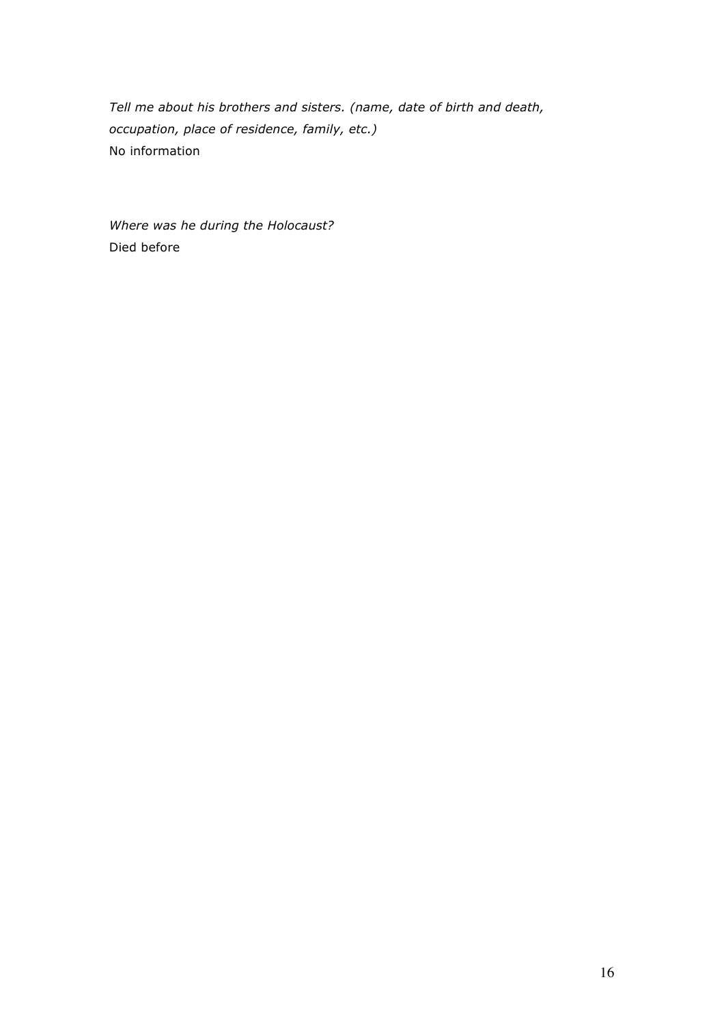*Tell me about his brothers and sisters. (name, date of birth and death, occupation, place of residence, family, etc.)* No information

*Where was he during the Holocaust?* Died before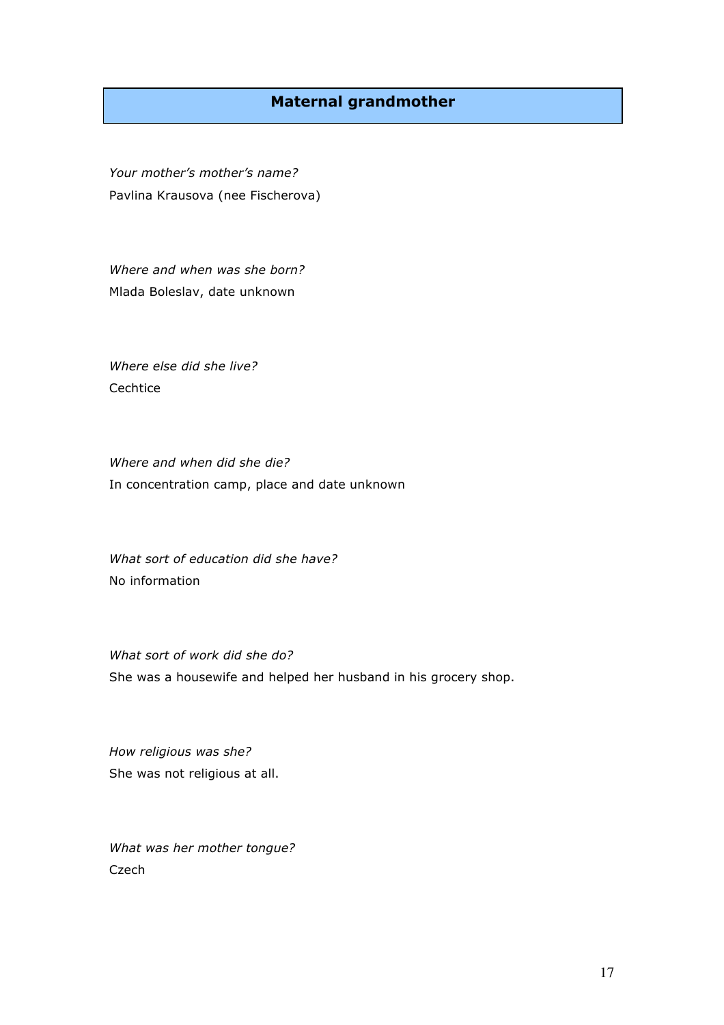## **Maternal grandmother**

*Your mother's mother's name?* Pavlina Krausova (nee Fischerova)

*Where and when was she born?* Mlada Boleslav, date unknown

*Where else did she live?* Cechtice

*Where and when did she die?* In concentration camp, place and date unknown

*What sort of education did she have?* No information

*What sort of work did she do?* She was a housewife and helped her husband in his grocery shop.

*How religious was she?*  She was not religious at all.

*What was her mother tongue?*  Czech